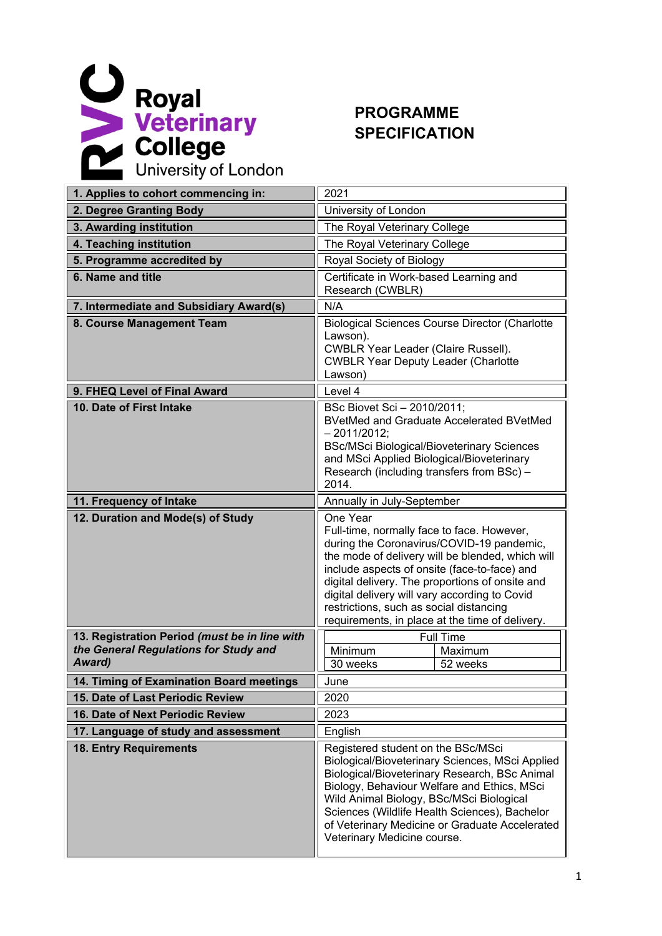

## **PROGRAMME SPECIFICATION**

| 1. Applies to cohort commencing in:                     | 2021                                                                                                                                                                                                                                                                                                                                                                                                      |  |  |
|---------------------------------------------------------|-----------------------------------------------------------------------------------------------------------------------------------------------------------------------------------------------------------------------------------------------------------------------------------------------------------------------------------------------------------------------------------------------------------|--|--|
| 2. Degree Granting Body                                 | University of London                                                                                                                                                                                                                                                                                                                                                                                      |  |  |
| 3. Awarding institution                                 | The Royal Veterinary College                                                                                                                                                                                                                                                                                                                                                                              |  |  |
| 4. Teaching institution                                 | The Royal Veterinary College                                                                                                                                                                                                                                                                                                                                                                              |  |  |
| 5. Programme accredited by                              | Royal Society of Biology                                                                                                                                                                                                                                                                                                                                                                                  |  |  |
| 6. Name and title                                       | Certificate in Work-based Learning and<br>Research (CWBLR)                                                                                                                                                                                                                                                                                                                                                |  |  |
| 7. Intermediate and Subsidiary Award(s)                 | N/A                                                                                                                                                                                                                                                                                                                                                                                                       |  |  |
| 8. Course Management Team                               | <b>Biological Sciences Course Director (Charlotte</b><br>Lawson).<br><b>CWBLR Year Leader (Claire Russell).</b><br><b>CWBLR Year Deputy Leader (Charlotte</b><br>Lawson)                                                                                                                                                                                                                                  |  |  |
| 9. FHEQ Level of Final Award                            | Level 4                                                                                                                                                                                                                                                                                                                                                                                                   |  |  |
| 10. Date of First Intake                                | BSc Biovet Sci - 2010/2011;<br><b>BVetMed and Graduate Accelerated BVetMed</b><br>$-2011/2012;$<br><b>BSc/MSci Biological/Bioveterinary Sciences</b><br>and MSci Applied Biological/Bioveterinary<br>Research (including transfers from BSc) -<br>2014.                                                                                                                                                   |  |  |
| 11. Frequency of Intake                                 | Annually in July-September                                                                                                                                                                                                                                                                                                                                                                                |  |  |
| 12. Duration and Mode(s) of Study                       | One Year<br>Full-time, normally face to face. However,<br>during the Coronavirus/COVID-19 pandemic,<br>the mode of delivery will be blended, which will<br>include aspects of onsite (face-to-face) and<br>digital delivery. The proportions of onsite and<br>digital delivery will vary according to Covid<br>restrictions, such as social distancing<br>requirements, in place at the time of delivery. |  |  |
| 13. Registration Period (must be in line with           | <b>Full Time</b>                                                                                                                                                                                                                                                                                                                                                                                          |  |  |
| the General Regulations for Study and<br><b>Award</b> ) | Minimum<br>Maximum<br>30 weeks<br>52 weeks                                                                                                                                                                                                                                                                                                                                                                |  |  |
| 14. Timing of Examination Board meetings                | June                                                                                                                                                                                                                                                                                                                                                                                                      |  |  |
| 15. Date of Last Periodic Review                        | 2020                                                                                                                                                                                                                                                                                                                                                                                                      |  |  |
| 16. Date of Next Periodic Review                        | 2023                                                                                                                                                                                                                                                                                                                                                                                                      |  |  |
| 17. Language of study and assessment                    | English                                                                                                                                                                                                                                                                                                                                                                                                   |  |  |
| <b>18. Entry Requirements</b>                           | Registered student on the BSc/MSci<br>Biological/Bioveterinary Sciences, MSci Applied<br>Biological/Bioveterinary Research, BSc Animal<br>Biology, Behaviour Welfare and Ethics, MSci<br>Wild Animal Biology, BSc/MSci Biological<br>Sciences (Wildlife Health Sciences), Bachelor<br>of Veterinary Medicine or Graduate Accelerated<br>Veterinary Medicine course.                                       |  |  |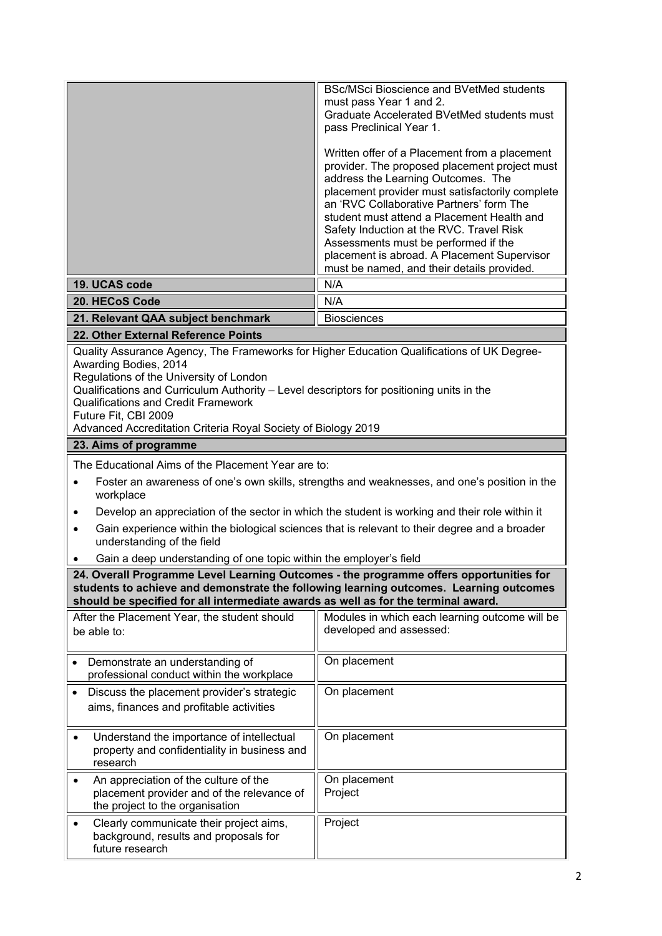| 19. UCAS code                                                                                                                                                                                                                                                                                                                                                                                                                                                                                                 | <b>BSc/MSci Bioscience and BVetMed students</b><br>must pass Year 1 and 2.<br>Graduate Accelerated BVetMed students must<br>pass Preclinical Year 1.<br>Written offer of a Placement from a placement<br>provider. The proposed placement project must<br>address the Learning Outcomes. The<br>placement provider must satisfactorily complete<br>an 'RVC Collaborative Partners' form The<br>student must attend a Placement Health and<br>Safety Induction at the RVC. Travel Risk<br>Assessments must be performed if the<br>placement is abroad. A Placement Supervisor<br>must be named, and their details provided.<br>N/A |  |  |  |
|---------------------------------------------------------------------------------------------------------------------------------------------------------------------------------------------------------------------------------------------------------------------------------------------------------------------------------------------------------------------------------------------------------------------------------------------------------------------------------------------------------------|-----------------------------------------------------------------------------------------------------------------------------------------------------------------------------------------------------------------------------------------------------------------------------------------------------------------------------------------------------------------------------------------------------------------------------------------------------------------------------------------------------------------------------------------------------------------------------------------------------------------------------------|--|--|--|
| 20. HECoS Code                                                                                                                                                                                                                                                                                                                                                                                                                                                                                                | N/A                                                                                                                                                                                                                                                                                                                                                                                                                                                                                                                                                                                                                               |  |  |  |
| 21. Relevant QAA subject benchmark                                                                                                                                                                                                                                                                                                                                                                                                                                                                            | <b>Biosciences</b>                                                                                                                                                                                                                                                                                                                                                                                                                                                                                                                                                                                                                |  |  |  |
| 22. Other External Reference Points                                                                                                                                                                                                                                                                                                                                                                                                                                                                           |                                                                                                                                                                                                                                                                                                                                                                                                                                                                                                                                                                                                                                   |  |  |  |
| Quality Assurance Agency, The Frameworks for Higher Education Qualifications of UK Degree-<br>Awarding Bodies, 2014<br>Regulations of the University of London<br>Qualifications and Curriculum Authority - Level descriptors for positioning units in the<br><b>Qualifications and Credit Framework</b><br>Future Fit, CBI 2009<br>Advanced Accreditation Criteria Royal Society of Biology 2019                                                                                                             |                                                                                                                                                                                                                                                                                                                                                                                                                                                                                                                                                                                                                                   |  |  |  |
| 23. Aims of programme                                                                                                                                                                                                                                                                                                                                                                                                                                                                                         |                                                                                                                                                                                                                                                                                                                                                                                                                                                                                                                                                                                                                                   |  |  |  |
| The Educational Aims of the Placement Year are to:<br>Foster an awareness of one's own skills, strengths and weaknesses, and one's position in the<br>$\bullet$<br>workplace<br>Develop an appreciation of the sector in which the student is working and their role within it<br>$\bullet$<br>Gain experience within the biological sciences that is relevant to their degree and a broader<br>$\bullet$<br>understanding of the field<br>Gain a deep understanding of one topic within the employer's field |                                                                                                                                                                                                                                                                                                                                                                                                                                                                                                                                                                                                                                   |  |  |  |
| 24. Overall Programme Level Learning Outcomes - the programme offers opportunities for                                                                                                                                                                                                                                                                                                                                                                                                                        |                                                                                                                                                                                                                                                                                                                                                                                                                                                                                                                                                                                                                                   |  |  |  |
| students to achieve and demonstrate the following learning outcomes. Learning outcomes<br>should be specified for all intermediate awards as well as for the terminal award.                                                                                                                                                                                                                                                                                                                                  |                                                                                                                                                                                                                                                                                                                                                                                                                                                                                                                                                                                                                                   |  |  |  |
| After the Placement Year, the student should<br>be able to:                                                                                                                                                                                                                                                                                                                                                                                                                                                   | Modules in which each learning outcome will be<br>developed and assessed:                                                                                                                                                                                                                                                                                                                                                                                                                                                                                                                                                         |  |  |  |
| Demonstrate an understanding of<br>$\bullet$<br>professional conduct within the workplace                                                                                                                                                                                                                                                                                                                                                                                                                     | On placement                                                                                                                                                                                                                                                                                                                                                                                                                                                                                                                                                                                                                      |  |  |  |
| Discuss the placement provider's strategic<br>$\bullet$<br>aims, finances and profitable activities                                                                                                                                                                                                                                                                                                                                                                                                           | On placement                                                                                                                                                                                                                                                                                                                                                                                                                                                                                                                                                                                                                      |  |  |  |
| Understand the importance of intellectual<br>٠<br>property and confidentiality in business and<br>research                                                                                                                                                                                                                                                                                                                                                                                                    | On placement                                                                                                                                                                                                                                                                                                                                                                                                                                                                                                                                                                                                                      |  |  |  |
| An appreciation of the culture of the<br>$\bullet$<br>placement provider and of the relevance of<br>the project to the organisation                                                                                                                                                                                                                                                                                                                                                                           | On placement<br>Project                                                                                                                                                                                                                                                                                                                                                                                                                                                                                                                                                                                                           |  |  |  |
| Clearly communicate their project aims,<br>background, results and proposals for<br>future research                                                                                                                                                                                                                                                                                                                                                                                                           | Project                                                                                                                                                                                                                                                                                                                                                                                                                                                                                                                                                                                                                           |  |  |  |